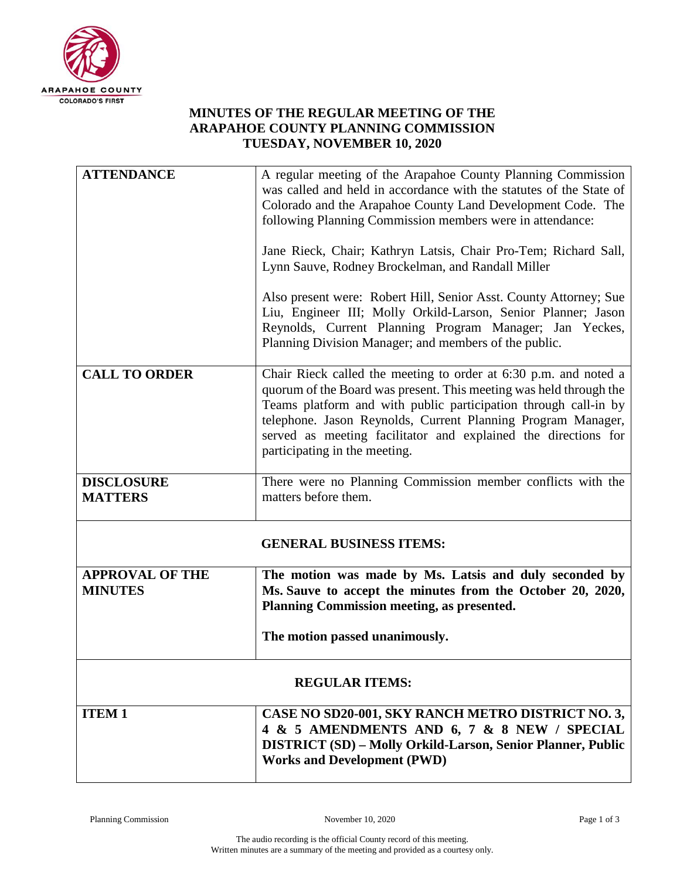

## **MINUTES OF THE REGULAR MEETING OF THE ARAPAHOE COUNTY PLANNING COMMISSION TUESDAY, NOVEMBER 10, 2020**

| <b>ATTENDANCE</b>                        | A regular meeting of the Arapahoe County Planning Commission<br>was called and held in accordance with the statutes of the State of                                                                                                                                                                                                                                          |
|------------------------------------------|------------------------------------------------------------------------------------------------------------------------------------------------------------------------------------------------------------------------------------------------------------------------------------------------------------------------------------------------------------------------------|
|                                          | Colorado and the Arapahoe County Land Development Code. The<br>following Planning Commission members were in attendance:                                                                                                                                                                                                                                                     |
|                                          | Jane Rieck, Chair; Kathryn Latsis, Chair Pro-Tem; Richard Sall,<br>Lynn Sauve, Rodney Brockelman, and Randall Miller                                                                                                                                                                                                                                                         |
|                                          | Also present were: Robert Hill, Senior Asst. County Attorney; Sue<br>Liu, Engineer III; Molly Orkild-Larson, Senior Planner; Jason<br>Reynolds, Current Planning Program Manager; Jan Yeckes,<br>Planning Division Manager; and members of the public.                                                                                                                       |
| <b>CALL TO ORDER</b>                     | Chair Rieck called the meeting to order at 6:30 p.m. and noted a<br>quorum of the Board was present. This meeting was held through the<br>Teams platform and with public participation through call-in by<br>telephone. Jason Reynolds, Current Planning Program Manager,<br>served as meeting facilitator and explained the directions for<br>participating in the meeting. |
| <b>DISCLOSURE</b><br><b>MATTERS</b>      | There were no Planning Commission member conflicts with the<br>matters before them.                                                                                                                                                                                                                                                                                          |
|                                          | <b>GENERAL BUSINESS ITEMS:</b>                                                                                                                                                                                                                                                                                                                                               |
| <b>APPROVAL OF THE</b><br><b>MINUTES</b> | The motion was made by Ms. Latsis and duly seconded by<br>Ms. Sauve to accept the minutes from the October 20, 2020,<br>Planning Commission meeting, as presented.                                                                                                                                                                                                           |
|                                          | The motion passed unanimously.                                                                                                                                                                                                                                                                                                                                               |
| <b>REGULAR ITEMS:</b>                    |                                                                                                                                                                                                                                                                                                                                                                              |
| <b>ITEM1</b>                             | CASE NO SD20-001, SKY RANCH METRO DISTRICT NO. 3,                                                                                                                                                                                                                                                                                                                            |
|                                          | 4 & 5 AMENDMENTS AND 6, 7 & 8 NEW / SPECIAL                                                                                                                                                                                                                                                                                                                                  |
|                                          | <b>DISTRICT (SD) - Molly Orkild-Larson, Senior Planner, Public</b><br><b>Works and Development (PWD)</b>                                                                                                                                                                                                                                                                     |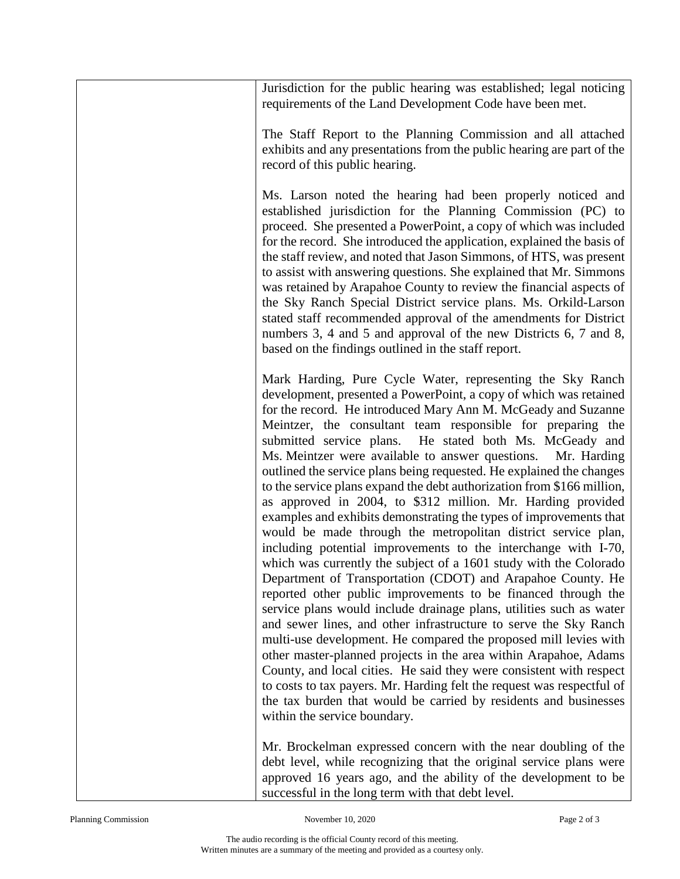Jurisdiction for the public hearing was established; legal noticing requirements of the Land Development Code have been met. The Staff Report to the Planning Commission and all attached exhibits and any presentations from the public hearing are part of the record of this public hearing. Ms. Larson noted the hearing had been properly noticed and established jurisdiction for the Planning Commission (PC) to proceed. She presented a PowerPoint, a copy of which was included for the record. She introduced the application, explained the basis of the staff review, and noted that Jason Simmons, of HTS, was present to assist with answering questions. She explained that Mr. Simmons was retained by Arapahoe County to review the financial aspects of the Sky Ranch Special District service plans. Ms. Orkild-Larson stated staff recommended approval of the amendments for District numbers 3, 4 and 5 and approval of the new Districts 6, 7 and 8, based on the findings outlined in the staff report. Mark Harding, Pure Cycle Water, representing the Sky Ranch development, presented a PowerPoint, a copy of which was retained for the record. He introduced Mary Ann M. McGeady and Suzanne Meintzer, the consultant team responsible for preparing the submitted service plans. He stated both Ms. McGeady and Ms. Meintzer were available to answer questions. Mr. Harding outlined the service plans being requested. He explained the changes to the service plans expand the debt authorization from \$166 million, as approved in 2004, to \$312 million. Mr. Harding provided examples and exhibits demonstrating the types of improvements that would be made through the metropolitan district service plan, including potential improvements to the interchange with I-70, which was currently the subject of a 1601 study with the Colorado Department of Transportation (CDOT) and Arapahoe County. He reported other public improvements to be financed through the service plans would include drainage plans, utilities such as water and sewer lines, and other infrastructure to serve the Sky Ranch multi-use development. He compared the proposed mill levies with other master-planned projects in the area within Arapahoe, Adams County, and local cities. He said they were consistent with respect to costs to tax payers. Mr. Harding felt the request was respectful of the tax burden that would be carried by residents and businesses within the service boundary. Mr. Brockelman expressed concern with the near doubling of the debt level, while recognizing that the original service plans were approved 16 years ago, and the ability of the development to be

successful in the long term with that debt level.